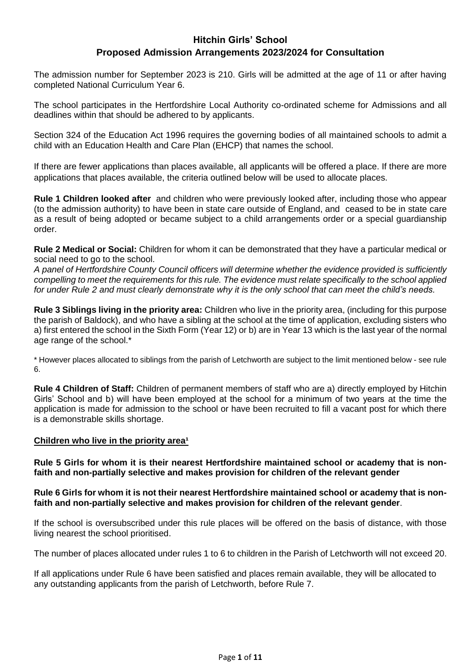# **Hitchin Girls' School Proposed Admission Arrangements 2023/2024 for Consultation**

The admission number for September 2023 is 210. Girls will be admitted at the age of 11 or after having completed National Curriculum Year 6.

The school participates in the Hertfordshire Local Authority co-ordinated scheme for Admissions and all deadlines within that should be adhered to by applicants.

Section 324 of the Education Act 1996 requires the governing bodies of all maintained schools to admit a child with an Education Health and Care Plan (EHCP) that names the school.

If there are fewer applications than places available, all applicants will be offered a place. If there are more applications that places available, the criteria outlined below will be used to allocate places.

**Rule 1 Children looked after** and children who were previously looked after, including those who appear (to the admission authority) to have been in state care outside of England, and ceased to be in state care as a result of being adopted or became subject to a child arrangements order or a special guardianship order.

**Rule 2 Medical or Social:** Children for whom it can be demonstrated that they have a particular medical or social need to go to the school.

*A panel of Hertfordshire County Council officers will determine whether the evidence provided is sufficiently compelling to meet the requirements for this rule. The evidence must relate specifically to the school applied for under Rule 2 and must clearly demonstrate why it is the only school that can meet the child's needs.*

**Rule 3 Siblings living in the priority area:** Children who live in the priority area, (including for this purpose the parish of Baldock), and who have a sibling at the school at the time of application, excluding sisters who a) first entered the school in the Sixth Form (Year 12) or b) are in Year 13 which is the last year of the normal age range of the school.\*

\* However places allocated to siblings from the parish of Letchworth are subject to the limit mentioned below - see rule 6.

**Rule 4 Children of Staff:** Children of permanent members of staff who are a) directly employed by Hitchin Girls' School and b) will have been employed at the school for a minimum of two years at the time the application is made for admission to the school or have been recruited to fill a vacant post for which there is a demonstrable skills shortage.

#### **Children** who live in the priority area<sup>1</sup>

**Rule 5 Girls for whom it is their nearest Hertfordshire maintained school or academy that is nonfaith and non-partially selective and makes provision for children of the relevant gender**

#### **Rule 6 Girls for whom it is not their nearest Hertfordshire maintained school or academy that is nonfaith and non-partially selective and makes provision for children of the relevant gender**.

If the school is oversubscribed under this rule places will be offered on the basis of distance, with those living nearest the school prioritised.

The number of places allocated under rules 1 to 6 to children in the Parish of Letchworth will not exceed 20.

If all applications under Rule 6 have been satisfied and places remain available, they will be allocated to any outstanding applicants from the parish of Letchworth, before Rule 7.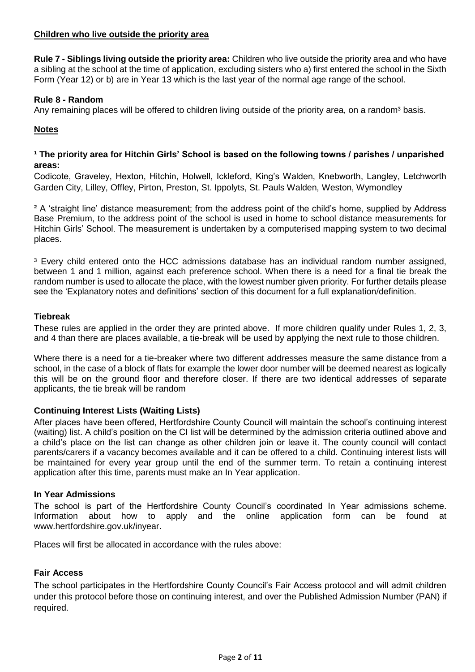#### **Children who live outside the priority area**

**Rule 7 - Siblings living outside the priority area:** Children who live outside the priority area and who have a sibling at the school at the time of application, excluding sisters who a) first entered the school in the Sixth Form (Year 12) or b) are in Year 13 which is the last year of the normal age range of the school.

#### **Rule 8 - Random**

Any remaining places will be offered to children living outside of the priority area, on a random<sup>3</sup> basis.

## **Notes**

#### <sup>1</sup> The priority area for Hitchin Girls' School is based on the following towns / parishes / unparished **areas:**

Codicote, Graveley, Hexton, Hitchin, Holwell, Ickleford, King's Walden, Knebworth, Langley, Letchworth Garden City, Lilley, Offley, Pirton, Preston, St. Ippolyts, St. Pauls Walden, Weston, Wymondley

<sup>2</sup> A 'straight line' distance measurement; from the address point of the child's home, supplied by Address Base Premium, to the address point of the school is used in home to school distance measurements for Hitchin Girls' School. The measurement is undertaken by a computerised mapping system to two decimal places.

<sup>3</sup> Every child entered onto the HCC admissions database has an individual random number assigned, between 1 and 1 million, against each preference school. When there is a need for a final tie break the random number is used to allocate the place, with the lowest number given priority. For further details please see the 'Explanatory notes and definitions' section of this document for a full explanation/definition.

#### **Tiebreak**

These rules are applied in the order they are printed above. If more children qualify under Rules 1, 2, 3, and 4 than there are places available, a tie-break will be used by applying the next rule to those children.

Where there is a need for a tie-breaker where two different addresses measure the same distance from a school, in the case of a block of flats for example the lower door number will be deemed nearest as logically this will be on the ground floor and therefore closer. If there are two identical addresses of separate applicants, the tie break will be random

## **Continuing Interest Lists (Waiting Lists)**

After places have been offered, Hertfordshire County Council will maintain the school's continuing interest (waiting) list. A child's position on the CI list will be determined by the admission criteria outlined above and a child's place on the list can change as other children join or leave it. The county council will contact parents/carers if a vacancy becomes available and it can be offered to a child. Continuing interest lists will be maintained for every year group until the end of the summer term. To retain a continuing interest application after this time, parents must make an In Year application.

#### **In Year Admissions**

The school is part of the Hertfordshire County Council's coordinated In Year admissions scheme. Information about how to apply and the online application form can be found at www.hertfordshire.gov.uk/inyear.

Places will first be allocated in accordance with the rules above:

## **Fair Access**

The school participates in the Hertfordshire County Council's Fair Access protocol and will admit children under this protocol before those on continuing interest, and over the Published Admission Number (PAN) if required.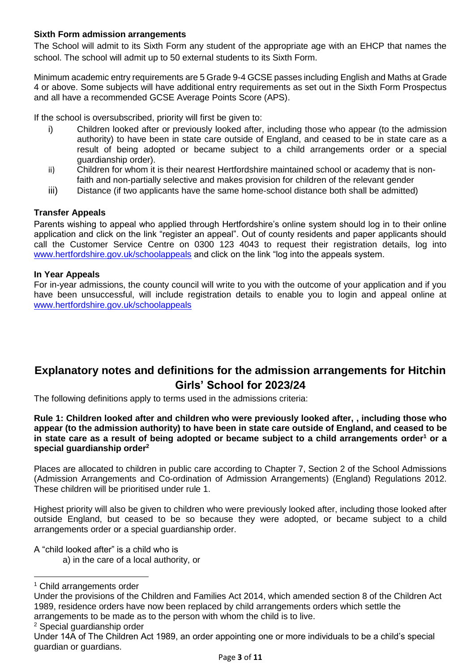## **Sixth Form admission arrangements**

The School will admit to its Sixth Form any student of the appropriate age with an EHCP that names the school. The school will admit up to 50 external students to its Sixth Form.

Minimum academic entry requirements are 5 Grade 9-4 GCSE passes including English and Maths at Grade 4 or above. Some subjects will have additional entry requirements as set out in the Sixth Form Prospectus and all have a recommended GCSE Average Points Score (APS).

If the school is oversubscribed, priority will first be given to:

- i) Children looked after or previously looked after, including those who appear (to the admission authority) to have been in state care outside of England, and ceased to be in state care as a result of being adopted or became subject to a child arrangements order or a special guardianship order).
- ii) Children for whom it is their nearest Hertfordshire maintained school or academy that is nonfaith and non-partially selective and makes provision for children of the relevant gender
- iii) Distance (if two applicants have the same home-school distance both shall be admitted)

## **Transfer Appeals**

Parents wishing to appeal who applied through Hertfordshire's online system should log in to their online application and click on the link "register an appeal". Out of county residents and paper applicants should call the Customer Service Centre on 0300 123 4043 to request their registration details, log into [www.hertfordshire.gov.uk/schoolappeals](http://www.hertfordshire.gov.uk/schoolappeals) and click on the link "log into the appeals system.

## **In Year Appeals**

For in-year admissions, the county council will write to you with the outcome of your application and if you have been unsuccessful, will include registration details to enable you to login and appeal online at [www.hertfordshire.gov.uk/schoolappeals](http://www.hertfordshire.gov.uk/schoolappeals)

# **Explanatory notes and definitions for the admission arrangements for Hitchin Girls' School for 2023/24**

The following definitions apply to terms used in the admissions criteria:

**Rule 1: Children looked after and children who were previously looked after, , including those who appear (to the admission authority) to have been in state care outside of England, and ceased to be in state care as a result of being adopted or became subject to a child arrangements order<sup>1</sup> or a special guardianship order<sup>2</sup>**

Places are allocated to children in public care according to Chapter 7, Section 2 of the School Admissions (Admission Arrangements and Co-ordination of Admission Arrangements) (England) Regulations 2012. These children will be prioritised under rule 1.

Highest priority will also be given to children who were previously looked after, including those looked after outside England, but ceased to be so because they were adopted, or became subject to a child arrangements order or a special guardianship order.

A "child looked after" is a child who is a) in the care of a local authority, or

<sup>1</sup> Child arrangements order

 $\overline{a}$ 

<sup>2</sup> Special guardianship order

Under the provisions of the Children and Families Act 2014, which amended section 8 of the Children Act 1989, residence orders have now been replaced by child arrangements orders which settle the arrangements to be made as to the person with whom the child is to live.

Under 14A of The Children Act 1989, an order appointing one or more individuals to be a child's special guardian or guardians.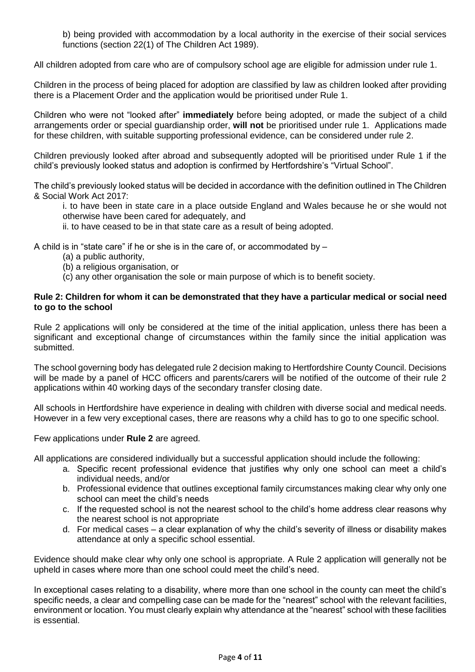b) being provided with accommodation by a local authority in the exercise of their social services functions (section 22(1) of The Children Act 1989).

All children adopted from care who are of compulsory school age are eligible for admission under rule 1.

Children in the process of being placed for adoption are classified by law as children looked after providing there is a Placement Order and the application would be prioritised under Rule 1.

Children who were not "looked after" **immediately** before being adopted, or made the subject of a child arrangements order or special guardianship order, **will not** be prioritised under rule 1. Applications made for these children, with suitable supporting professional evidence, can be considered under rule 2.

Children previously looked after abroad and subsequently adopted will be prioritised under Rule 1 if the child's previously looked status and adoption is confirmed by Hertfordshire's "Virtual School".

The child's previously looked status will be decided in accordance with the definition outlined in The Children & Social Work Act 2017:

i. to have been in state care in a place outside England and Wales because he or she would not otherwise have been cared for adequately, and

ii. to have ceased to be in that state care as a result of being adopted.

A child is in "state care" if he or she is in the care of, or accommodated by –

- (a) a public authority,
- (b) a religious organisation, or
- (c) any other organisation the sole or main purpose of which is to benefit society.

#### **Rule 2: Children for whom it can be demonstrated that they have a particular medical or social need to go to the school**

Rule 2 applications will only be considered at the time of the initial application, unless there has been a significant and exceptional change of circumstances within the family since the initial application was submitted.

The school governing body has delegated rule 2 decision making to Hertfordshire County Council. Decisions will be made by a panel of HCC officers and parents/carers will be notified of the outcome of their rule 2 applications within 40 working days of the secondary transfer closing date.

All schools in Hertfordshire have experience in dealing with children with diverse social and medical needs. However in a few very exceptional cases, there are reasons why a child has to go to one specific school.

Few applications under **Rule 2** are agreed.

All applications are considered individually but a successful application should include the following:

- a. Specific recent professional evidence that justifies why only one school can meet a child's individual needs, and/or
- b. Professional evidence that outlines exceptional family circumstances making clear why only one school can meet the child's needs
- c. If the requested school is not the nearest school to the child's home address clear reasons why the nearest school is not appropriate
- d. For medical cases a clear explanation of why the child's severity of illness or disability makes attendance at only a specific school essential.

Evidence should make clear why only one school is appropriate. A Rule 2 application will generally not be upheld in cases where more than one school could meet the child's need.

In exceptional cases relating to a disability, where more than one school in the county can meet the child's specific needs, a clear and compelling case can be made for the "nearest" school with the relevant facilities, environment or location. You must clearly explain why attendance at the "nearest" school with these facilities is essential.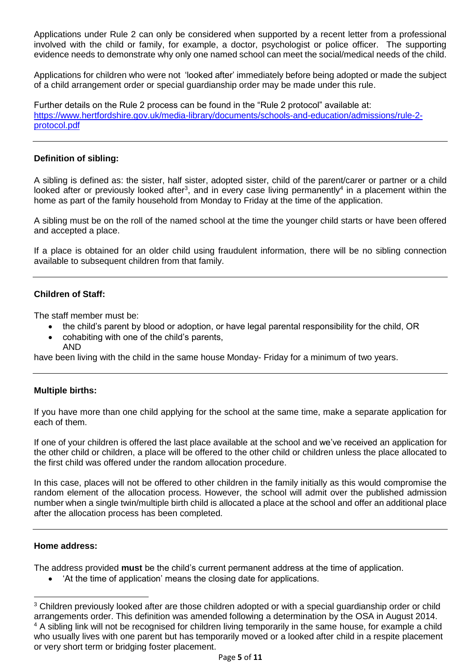Applications under Rule 2 can only be considered when supported by a recent letter from a professional involved with the child or family, for example, a doctor, psychologist or police officer. The supporting evidence needs to demonstrate why only one named school can meet the social/medical needs of the child.

Applications for children who were not 'looked after' immediately before being adopted or made the subject of a child arrangement order or special guardianship order may be made under this rule.

Further details on the Rule 2 process can be found in the "Rule 2 protocol" available at: https://www.hertfordshire.gov.uk/media-library/documents/schools-and-education/admissions/rule-2 protocol.pdf

#### **Definition of sibling:**

A sibling is defined as: the sister, half sister, adopted sister, child of the parent/carer or partner or a child looked after or previously looked after<sup>3</sup>, and in every case living permanently<sup>4</sup> in a placement within the home as part of the family household from Monday to Friday at the time of the application.

A sibling must be on the roll of the named school at the time the younger child starts or have been offered and accepted a place.

If a place is obtained for an older child using fraudulent information, there will be no sibling connection available to subsequent children from that family.

## **Children of Staff:**

The staff member must be:

- the child's parent by blood or adoption, or have legal parental responsibility for the child, OR
- cohabiting with one of the child's parents, AND

have been living with the child in the same house Monday- Friday for a minimum of two years.

#### **Multiple births:**

If you have more than one child applying for the school at the same time, make a separate application for each of them.

If one of your children is offered the last place available at the school and we've received an application for the other child or children, a place will be offered to the other child or children unless the place allocated to the first child was offered under the random allocation procedure.

In this case, places will not be offered to other children in the family initially as this would compromise the random element of the allocation process. However, the school will admit over the published admission number when a single twin/multiple birth child is allocated a place at the school and offer an additional place after the allocation process has been completed.

#### **Home address:**

 $\ddot{\phantom{a}}$ 

The address provided **must** be the child's current permanent address at the time of application.

'At the time of application' means the closing date for applications.

<sup>&</sup>lt;sup>3</sup> Children previously looked after are those children adopted or with a special guardianship order or child arrangements order. This definition was amended following a determination by the OSA in August 2014. <sup>4</sup> A sibling link will not be recognised for children living temporarily in the same house, for example a child who usually lives with one parent but has temporarily moved or a looked after child in a respite placement or very short term or bridging foster placement.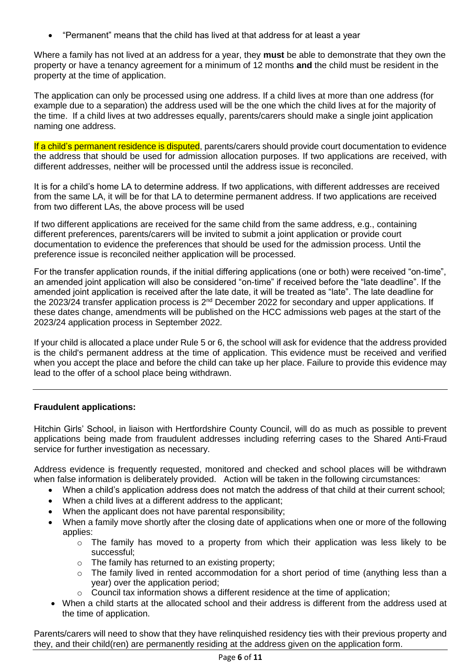"Permanent" means that the child has lived at that address for at least a year

Where a family has not lived at an address for a year, they **must** be able to demonstrate that they own the property or have a tenancy agreement for a minimum of 12 months **and** the child must be resident in the property at the time of application.

The application can only be processed using one address. If a child lives at more than one address (for example due to a separation) the address used will be the one which the child lives at for the majority of the time. If a child lives at two addresses equally, parents/carers should make a single joint application naming one address.

If a child's permanent residence is disputed, parents/carers should provide court documentation to evidence the address that should be used for admission allocation purposes. If two applications are received, with different addresses, neither will be processed until the address issue is reconciled.

It is for a child's home LA to determine address. If two applications, with different addresses are received from the same LA, it will be for that LA to determine permanent address. If two applications are received from two different LAs, the above process will be used

If two different applications are received for the same child from the same address, e.g., containing different preferences, parents/carers will be invited to submit a joint application or provide court documentation to evidence the preferences that should be used for the admission process. Until the preference issue is reconciled neither application will be processed.

For the transfer application rounds, if the initial differing applications (one or both) were received "on-time", an amended joint application will also be considered "on-time" if received before the "late deadline". If the amended joint application is received after the late date, it will be treated as "late". The late deadline for the 2023/24 transfer application process is 2<sup>nd</sup> December 2022 for secondary and upper applications. If these dates change, amendments will be published on the HCC admissions web pages at the start of the 2023/24 application process in September 2022.

If your child is allocated a place under Rule 5 or 6, the school will ask for evidence that the address provided is the child's permanent address at the time of application. This evidence must be received and verified when you accept the place and before the child can take up her place. Failure to provide this evidence may lead to the offer of a school place being withdrawn.

## **Fraudulent applications:**

Hitchin Girls' School, in liaison with Hertfordshire County Council, will do as much as possible to prevent applications being made from fraudulent addresses including referring cases to the Shared Anti-Fraud service for further investigation as necessary.

Address evidence is frequently requested, monitored and checked and school places will be withdrawn when false information is deliberately provided. Action will be taken in the following circumstances:

- When a child's application address does not match the address of that child at their current school;
- When a child lives at a different address to the applicant;
- When the applicant does not have parental responsibility;
- When a family move shortly after the closing date of applications when one or more of the following applies:
	- $\circ$  The family has moved to a property from which their application was less likely to be successful;
	- o The family has returned to an existing property;
	- o The family lived in rented accommodation for a short period of time (anything less than a year) over the application period;
	- Council tax information shows a different residence at the time of application;
- When a child starts at the allocated school and their address is different from the address used at the time of application.

Parents/carers will need to show that they have relinquished residency ties with their previous property and they, and their child(ren) are permanently residing at the address given on the application form.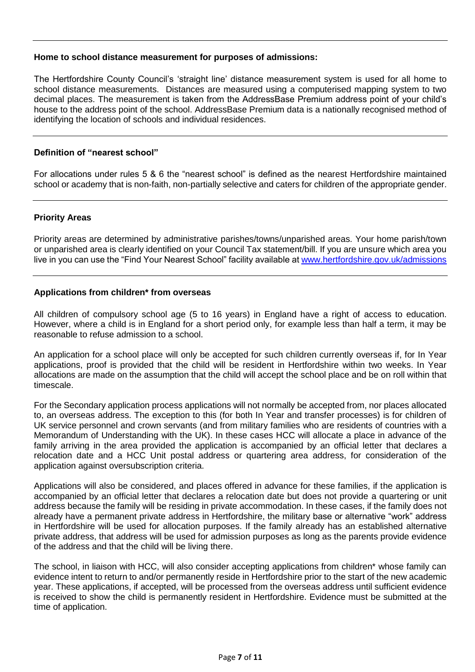#### **Home to school distance measurement for purposes of admissions:**

The Hertfordshire County Council's 'straight line' distance measurement system is used for all home to school distance measurements. Distances are measured using a computerised mapping system to two decimal places. The measurement is taken from the AddressBase Premium address point of your child's house to the address point of the school. AddressBase Premium data is a nationally recognised method of identifying the location of schools and individual residences.

#### **Definition of "nearest school"**

For allocations under rules 5 & 6 the "nearest school" is defined as the nearest Hertfordshire maintained school or academy that is non-faith, non-partially selective and caters for children of the appropriate gender.

#### **Priority Areas**

Priority areas are determined by administrative parishes/towns/unparished areas. Your home parish/town or unparished area is clearly identified on your Council Tax statement/bill. If you are unsure which area you live in you can use the "Find Your Nearest School" facility available a[t www.hertfordshire.gov.uk/admissions](http://www.hertfordshire.gov.uk/admissions)

#### **Applications from children\* from overseas**

All children of compulsory school age (5 to 16 years) in England have a right of access to education. However, where a child is in England for a short period only, for example less than half a term, it may be reasonable to refuse admission to a school.

An application for a school place will only be accepted for such children currently overseas if, for In Year applications, proof is provided that the child will be resident in Hertfordshire within two weeks. In Year allocations are made on the assumption that the child will accept the school place and be on roll within that timescale.

For the Secondary application process applications will not normally be accepted from, nor places allocated to, an overseas address. The exception to this (for both In Year and transfer processes) is for children of UK service personnel and crown servants (and from military families who are residents of countries with a Memorandum of Understanding with the UK). In these cases HCC will allocate a place in advance of the family arriving in the area provided the application is accompanied by an official letter that declares a relocation date and a HCC Unit postal address or quartering area address, for consideration of the application against oversubscription criteria.

Applications will also be considered, and places offered in advance for these families, if the application is accompanied by an official letter that declares a relocation date but does not provide a quartering or unit address because the family will be residing in private accommodation. In these cases, if the family does not already have a permanent private address in Hertfordshire, the military base or alternative "work" address in Hertfordshire will be used for allocation purposes. If the family already has an established alternative private address, that address will be used for admission purposes as long as the parents provide evidence of the address and that the child will be living there.

The school, in liaison with HCC, will also consider accepting applications from children\* whose family can evidence intent to return to and/or permanently reside in Hertfordshire prior to the start of the new academic year. These applications, if accepted, will be processed from the overseas address until sufficient evidence is received to show the child is permanently resident in Hertfordshire. Evidence must be submitted at the time of application.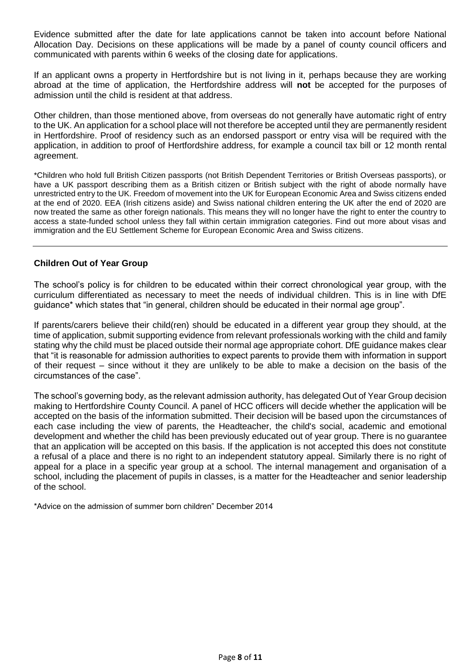Evidence submitted after the date for late applications cannot be taken into account before National Allocation Day. Decisions on these applications will be made by a panel of county council officers and communicated with parents within 6 weeks of the closing date for applications.

If an applicant owns a property in Hertfordshire but is not living in it, perhaps because they are working abroad at the time of application, the Hertfordshire address will **not** be accepted for the purposes of admission until the child is resident at that address.

Other children, than those mentioned above, from overseas do not generally have automatic right of entry to the UK. An application for a school place will not therefore be accepted until they are permanently resident in Hertfordshire. Proof of residency such as an endorsed passport or entry visa will be required with the application, in addition to proof of Hertfordshire address, for example a council tax bill or 12 month rental agreement.

\*Children who hold full British Citizen passports (not British Dependent Territories or British Overseas passports), or have a UK passport describing them as a British citizen or British subject with the right of abode normally have unrestricted entry to the UK. Freedom of movement into the UK for European Economic Area and Swiss citizens ended at the end of 2020. EEA (Irish citizens aside) and Swiss national children entering the UK after the end of 2020 are now treated the same as other foreign nationals. This means they will no longer have the right to enter the country to access a state-funded school unless they fall within certain immigration categories. Find out more about visas and immigration and the EU Settlement Scheme for European Economic Area and Swiss citizens.

#### **Children Out of Year Group**

The school's policy is for children to be educated within their correct chronological year group, with the curriculum differentiated as necessary to meet the needs of individual children. This is in line with DfE guidance\* which states that "in general, children should be educated in their normal age group".

If parents/carers believe their child(ren) should be educated in a different year group they should, at the time of application, submit supporting evidence from relevant professionals working with the child and family stating why the child must be placed outside their normal age appropriate cohort. DfE guidance makes clear that "it is reasonable for admission authorities to expect parents to provide them with information in support of their request – since without it they are unlikely to be able to make a decision on the basis of the circumstances of the case".

The school's governing body, as the relevant admission authority, has delegated Out of Year Group decision making to Hertfordshire County Council. A panel of HCC officers will decide whether the application will be accepted on the basis of the information submitted. Their decision will be based upon the circumstances of each case including the view of parents, the Headteacher, the child's social, academic and emotional development and whether the child has been previously educated out of year group. There is no guarantee that an application will be accepted on this basis. If the application is not accepted this does not constitute a refusal of a place and there is no right to an independent statutory appeal. Similarly there is no right of appeal for a place in a specific year group at a school. The internal management and organisation of a school, including the placement of pupils in classes, is a matter for the Headteacher and senior leadership of the school.

\*Advice on the admission of summer born children" December 2014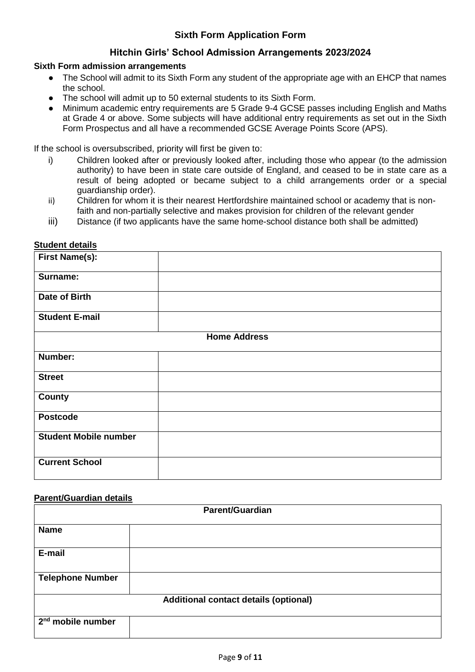# **Sixth Form Application Form**

## **Hitchin Girls' School Admission Arrangements 2023/2024**

#### **Sixth Form admission arrangements**

- The School will admit to its Sixth Form any student of the appropriate age with an EHCP that names the school.
- The school will admit up to 50 external students to its Sixth Form.
- Minimum academic entry requirements are 5 Grade 9-4 GCSE passes including English and Maths at Grade 4 or above. Some subjects will have additional entry requirements as set out in the Sixth Form Prospectus and all have a recommended GCSE Average Points Score (APS).

If the school is oversubscribed, priority will first be given to:

- i) Children looked after or previously looked after, including those who appear (to the admission authority) to have been in state care outside of England, and ceased to be in state care as a result of being adopted or became subject to a child arrangements order or a special guardianship order).
- ii) Children for whom it is their nearest Hertfordshire maintained school or academy that is nonfaith and non-partially selective and makes provision for children of the relevant gender
- iii) Distance (if two applicants have the same home-school distance both shall be admitted)

| <b>First Name(s):</b>        |                     |
|------------------------------|---------------------|
| Surname:                     |                     |
| <b>Date of Birth</b>         |                     |
| <b>Student E-mail</b>        |                     |
|                              | <b>Home Address</b> |
| Number:                      |                     |
| <b>Street</b>                |                     |
| <b>County</b>                |                     |
| <b>Postcode</b>              |                     |
| <b>Student Mobile number</b> |                     |
| <b>Current School</b>        |                     |

## **Student details**

#### **Parent/Guardian details**

| <b>Parent/Guardian</b>                       |  |  |
|----------------------------------------------|--|--|
| <b>Name</b>                                  |  |  |
| E-mail                                       |  |  |
| <b>Telephone Number</b>                      |  |  |
| <b>Additional contact details (optional)</b> |  |  |
| 2 <sup>nd</sup> mobile number                |  |  |
|                                              |  |  |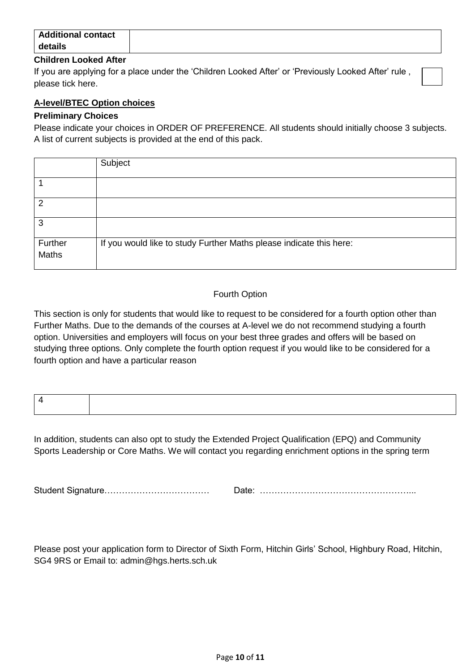| <b>Additional contact</b> |  |
|---------------------------|--|
| details                   |  |
| -----<br>$   -$           |  |

#### **Children Looked After**

If you are applying for a place under the 'Children Looked After' or 'Previously Looked After' rule , please tick here.

#### **A-level/BTEC Option choices**

#### **Preliminary Choices**

Please indicate your choices in ORDER OF PREFERENCE. All students should initially choose 3 subjects. A list of current subjects is provided at the end of this pack.

|                  | Subject                                                             |
|------------------|---------------------------------------------------------------------|
|                  |                                                                     |
| 2                |                                                                     |
| 3                |                                                                     |
| Further<br>Maths | If you would like to study Further Maths please indicate this here: |

## Fourth Option

This section is only for students that would like to request to be considered for a fourth option other than Further Maths. Due to the demands of the courses at A-level we do not recommend studying a fourth option. Universities and employers will focus on your best three grades and offers will be based on studying three options. Only complete the fourth option request if you would like to be considered for a fourth option and have a particular reason

In addition, students can also opt to study the Extended Project Qualification (EPQ) and Community Sports Leadership or Core Maths. We will contact you regarding enrichment options in the spring term

Student Signature……………………………… Date: ……………………………………………...

Please post your application form to Director of Sixth Form, Hitchin Girls' School, Highbury Road, Hitchin, SG4 9RS or Email to: admin@hgs.herts.sch.uk